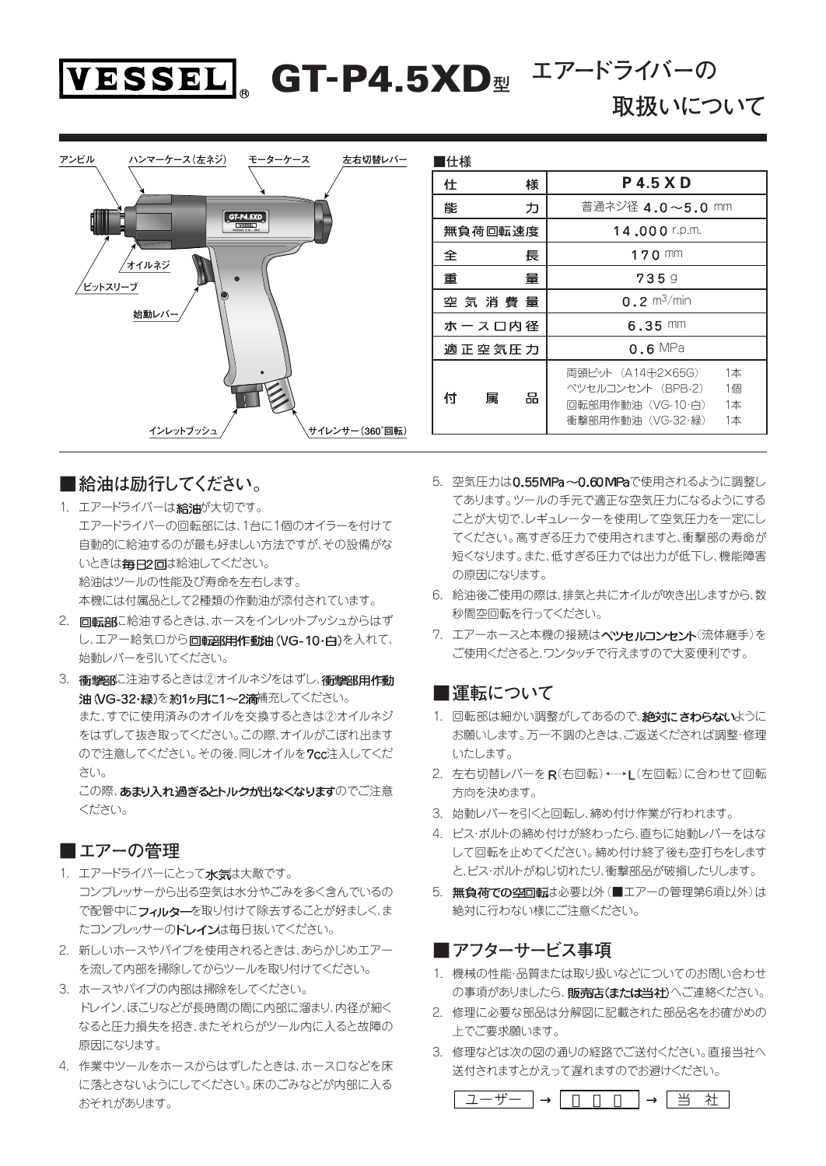

**取扱いについて**



# **■給油は励行してください。**

- 1. エアードライバーは給油が大切です。 エアードライバーの回転部には、1台に1個のオイラーを付けて 自動的に給油するのが最も好ましい方法ですが、その設備がな いときは毎日2回は給油してください。 給油はツールの性能及び寿命を左右します。 本機には付属品として2種類の作動油が添付されています。
- 2. 回転部に給油するときは、ホースをインレットブッシュからはず し、エアー給気口から回転部用作動油(VG-10·白)を入れて、 始動レバーを引いてください。
- 3. 衝撃部に注油するときは②オイルネジをはずし、衝撃部用作動 油 (VG-32·緑)を約1ヶ月に1~2滴補充してください。 また、すでに使用済みのオイルを交換するときは②オイルネジ をはずして抜き取ってください。この際、オイルがこぼれ出ます ので注意してください。その後、同じオイルを7cc注入してくだ さい。 この際、あまり入れ過ぎるとトルクが出なくなりますのでご注意

ください。

## **■エアーの管理**

- 1. エアードライバーにとって水気は大敵です。 コンプレッサーから出る空気は水分やごみを多く含んでいるの て配管中にフィルターを取り付けて除去することが好ましく、ま たコンプレッサーのドレインは毎日抜いてください。
- 2. 新しいホースやパイプを使用されるときは、あらかじめエアー を流して内部を掃除してからツールを取り付けてください。
- 3. ホースやパイプの内部は掃除をしてください。 ドレイン、ほこりなどが長時間の間に内部に溜まり、内径が細く なると圧力損失を招き、またそれらがツール内に入ると故障の 原因になります。
- 4. 作業中ツールをホースからはずしたときは、ホース口などを床 に落とさないようにしてください。床のごみなどが内部に入る おそれがあります。
- 5. 空気圧力は0.55 MPa~0.60 MPaで使用されるように調整し てあります。ツールの手元で適正な空気圧力になるようにする ことが大切で、レギュレーターを使用して空気圧力を一定にし てください。高すぎる圧力で使用されますと、衝撃部の寿命が 短くなります。また、低すぎる圧力では出力が低下し、機能障害 の原因になります。
- 6. 給油後ご使用の際は、排気と共にオイルが吹き出しますから、数 秒間空回転を行ってください。
- 7. エアーホースと本機の接続はベツセルコンセント(流体継手)を ご使用くださると、ワンタッチで行えますので大変便利です。

## ■運転について

- 1. 回転部は細かい調整がしてあるので、絶対にさわらないように お願いします。万一不調のときは、ご返送くだされば調整・修理 いたします。
- 2. 左右切替レバーをR(右回転)←→L(左回転)に合わせて回転 方向を決めます。
- 3. 始動レバーを引くと回転し、締め付け作業が行われます。
- 4. ビス・ボルトの締め付けが終わったら、直ちに始動レバーをはな して回転を止めてください。締め付け終了後も空打ちをします と、ビス・ボルトがねじ切れたり、衝撃部品が破損したりします。
- 5. 無負荷での空回転は必要以外(■エアーの管理第6項以外)は 絶対に行わない様にご注意ください。

# **■アフターサービス事項**

- 1. 機械の性能・品質または取り扱いなどについてのお問い合わせ の事項がありましたら、販売店(または当社)へご連絡ください。
- 2. 修理に必要な部品は分解図に記載された部品名をお確かめの 上でご要求願います。
- 3. 修理などは次の図の通りの経路でご送付ください。直接当社へ 送付されますとかえって遅れますのでお避けください。

ユーザー │ │ │ │ │ 当 社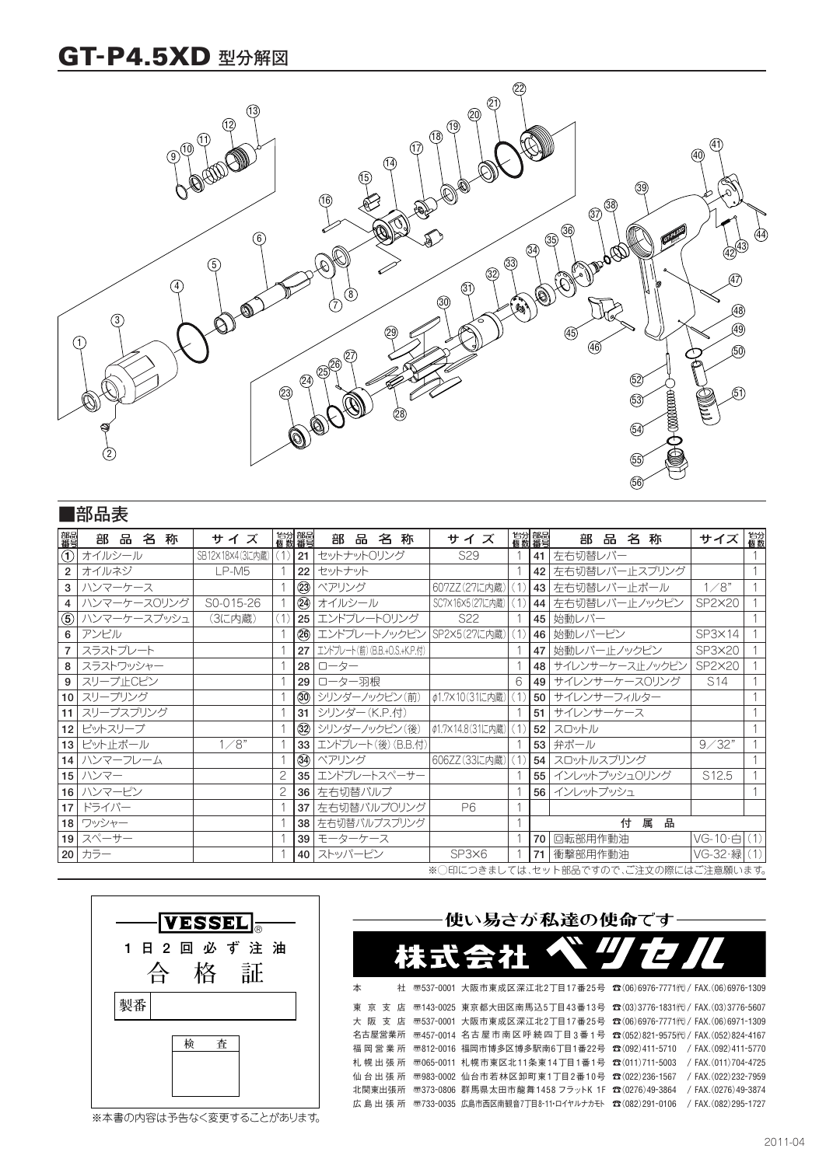# **GT-P4.5XD 型分解図**



|                                      | ■部品表           |      |  |  |                 |        |     |  |                 |                              |   |     |                  |                 |  |     |                |                 |      |   |        |                   |     |
|--------------------------------------|----------------|------|--|--|-----------------|--------|-----|--|-----------------|------------------------------|---|-----|------------------|-----------------|--|-----|----------------|-----------------|------|---|--------|-------------------|-----|
| 部品<br>番号                             |                | 部品名称 |  |  |                 |        | サイズ |  | 1台分 部品<br>個数 番号 | 部                            | 品 | 名 称 |                  | サイズ             |  |     | 怡分 部品<br>個数 番号 |                 | 部品名称 |   |        | サイズ               | 1台分 |
|                                      | ①  オイルシール      |      |  |  | SB12×18×4(3に内蔵) |        |     |  | 21              | セットナットロリング                   |   |     |                  | S <sub>29</sub> |  |     | 41             | 左右切替レバー         |      |   |        |                   |     |
| $\overline{2}$                       | オイルネジ          |      |  |  |                 | LP-M5  |     |  | 22              | セットナット                       |   |     |                  |                 |  |     | 42             | 左右切替レバー止スプリング   |      |   |        |                   |     |
| 3                                    | ハンマーケース        |      |  |  |                 |        |     |  | $\circled{3}$   | ベアリング                        |   |     | 607ZZ(27に内蔵)     |                 |  | 〔1〕 | 43             | 左右切替レバー止ボール     |      |   |        | 1/8"              |     |
| $\overline{4}$                       | ハンマーケースOリング    |      |  |  | S0-015-26       |        |     |  |                 | 24 オイルシール                    |   |     | SC7×16×5(27に内蔵)  |                 |  |     | 44             | 左右切替レバー止ノックピン   |      |   |        | SP2×20            |     |
|                                      | ⑤ ハンマーケースブッシュ  |      |  |  |                 | (3に内蔵) |     |  |                 | 25 エンドプレートロリング               |   |     |                  | S <sub>22</sub> |  |     | 45             | 始動レバー           |      |   |        |                   |     |
| 6                                    | アンビル           |      |  |  |                 |        |     |  |                 | 26 エンドプレートノックピン              |   |     | SP2×5(27に内蔵)     |                 |  |     | 46             | 始動レバーピン         |      |   |        | $SP3 \times 14$   |     |
| $\overline{7}$                       | スラストプレート       |      |  |  |                 |        |     |  | 27 <sup>1</sup> | エンドプレート(前) (B.B.+0.S.+K.P.付) |   |     |                  |                 |  |     | 47             | 始動レバー止ノックピン     |      |   |        | SP3×20            |     |
| 8                                    | スラストワッシャー      |      |  |  |                 |        |     |  | 28 <sub>1</sub> | ローター                         |   |     |                  |                 |  |     | 48             | サイレンサーケース止ノックピン |      |   |        | SP2×20            |     |
| 9                                    | スリーブ止Cピン       |      |  |  |                 |        |     |  | 29              | ローター羽根                       |   |     |                  |                 |  | 6   | 49             | サイレンサーケース0リング   |      |   |        | S14               |     |
|                                      | 10 スリーブリング     |      |  |  |                 |        |     |  |                 | 30 シリンダーノックピン(前)             |   |     | ¢1.7×10(31に内蔵)   |                 |  |     | 50             | サイレンサーフィルター     |      |   |        |                   |     |
|                                      | 11   スリーブスプリング |      |  |  |                 |        |     |  |                 | 31 シリンダー (K.P.付)             |   |     |                  |                 |  |     | 51             | サイレンサーケース       |      |   |        |                   |     |
|                                      | 12 ビットスリーブ     |      |  |  |                 |        |     |  |                 | 32 シリンダーノックピン(後)             |   |     | ¢1.7×14.8(31に内蔵) |                 |  |     | 52             | スロットル           |      |   |        |                   |     |
|                                      | 13 ビット止ボール     |      |  |  |                 | 1/8"   |     |  |                 | 33 エンドプレート(後) (B.B.付)        |   |     |                  |                 |  |     | 53             | 弁ボール            |      |   |        | 9/32"             |     |
|                                      | 14 ハンマーフレーム    |      |  |  |                 |        |     |  |                 | 34 ベアリング                     |   |     | 606ZZ(33に内蔵)     |                 |  |     | 54             | スロットルスプリング      |      |   |        |                   |     |
|                                      | 15 ハンマー        |      |  |  |                 |        |     |  | 35              | エンドプレートスペーサー                 |   |     |                  |                 |  |     | 55             | インレットブッシュ0リング   |      |   |        | S <sub>12.5</sub> |     |
|                                      | 16 ハンマーピン      |      |  |  |                 |        |     |  | 36              | 左右切替バルブ                      |   |     |                  |                 |  |     | 56             | インレットブッシュ       |      |   |        |                   |     |
|                                      | 17 ドライバー       |      |  |  |                 |        |     |  | 37              | 左右切替バルブOリング                  |   |     |                  | P6              |  |     |                |                 |      |   |        |                   |     |
|                                      | 18 フッシャー       |      |  |  |                 |        |     |  |                 | 38   左右切替バルブスプリング            |   |     |                  |                 |  |     |                |                 |      | 付 | 属<br>品 |                   |     |
|                                      | 19 スペーサー       |      |  |  |                 |        |     |  |                 | 39 モーターケース                   |   |     |                  |                 |  |     | 70             | 回転部用作動油         |      |   |        | VG-10·白(1)        |     |
|                                      | 20 カラー         |      |  |  |                 |        |     |  |                 | 40 ストッパーピン                   |   |     |                  | SP3×6           |  |     | 71             | 衝撃部用作動油         |      |   |        | VG-32·緑           |     |
| ※○印につきましては、セット部品ですので、ご注文の際にはご注意願います。 |                |      |  |  |                 |        |     |  |                 |                              |   |     |                  |                 |  |     |                |                 |      |   |        |                   |     |



※本書の内容は予告なく変更することがあります。



ੱਰ

本 社 壶537-0001 大阪市東成区深江北2丁目17番25号 ☎(06)6976-7771代)/FAX.(06)6976-1309 東 京 支 店 壶143-0025 東京都大田区南馬込5丁目43番13号 ☎(03)3776-1831代)/FAX.(03)3776-5607 大 阪 支 店 ѿ537-0001 大阪市東成区深江北2丁目17番25号 ☎(06)6976-7771代)/FAX.(06)6971-1309 名古屋営業所 ѿ457-0014 名古屋市南区呼続四丁目3番1号 ☎(052)821-9575代)/FAX.(052)824-4167 }(092)411-5710 / FAX.(092)411-5770 福岡営業所 {812-0016 福岡市博多区博多駅南6丁目1番22号 札幌出張所 ѿ065-0011 札幌市東区北11条東14丁目1番1号 ☎(011)711-5003 /FAX.(011)704-4725

使い易さが私達の使命て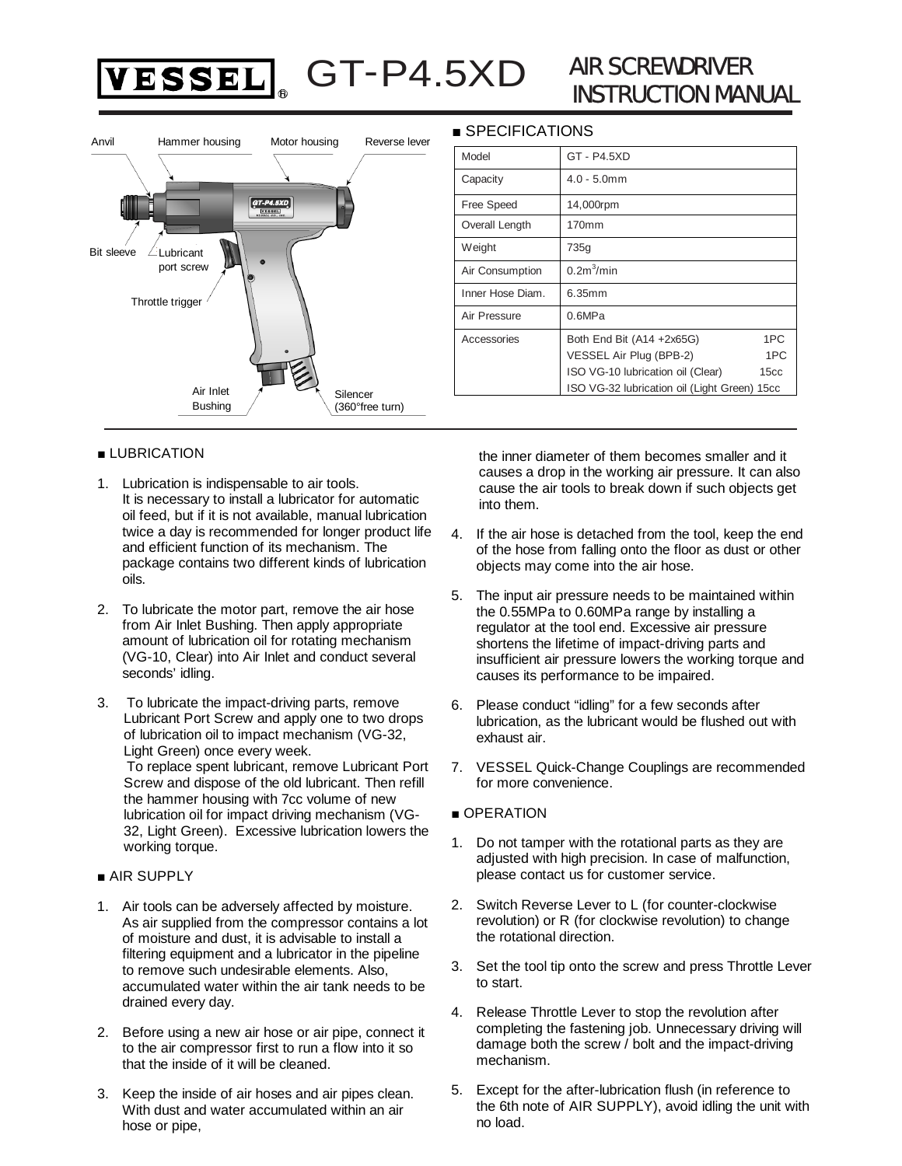

# AIR SCREWDRIVER INSTRUCTION MANUAL



#### ■ LUBRICATION

- 1. Lubrication is indispensable to air tools. It is necessary to install a lubricator for automatic oil feed, but if it is not available, manual lubrication twice a day is recommended for longer product life and efficient function of its mechanism. The package contains two different kinds of lubrication oils.
- 2. To lubricate the motor part, remove the air hose from Air Inlet Bushing. Then apply appropriate amount of lubrication oil for rotating mechanism (VG-10, Clear) into Air Inlet and conduct several seconds' idling.
- 3. To lubricate the impact-driving parts, remove Lubricant Port Screw and apply one to two drops of lubrication oil to impact mechanism (VG-32, Light Green) once every week. To replace spent lubricant, remove Lubricant Port Screw and dispose of the old lubricant. Then refill the hammer housing with 7cc volume of new lubrication oil for impact driving mechanism (VG-32, Light Green). Excessive lubrication lowers the working torque.

#### ■ AIR SUPPLY

- 1. Air tools can be adversely affected by moisture. As air supplied from the compressor contains a lot of moisture and dust, it is advisable to install a filtering equipment and a lubricator in the pipeline to remove such undesirable elements. Also, accumulated water within the air tank needs to be drained every day.
- 2. Before using a new air hose or air pipe, connect it to the air compressor first to run a flow into it so that the inside of it will be cleaned.
- 3. Keep the inside of air hoses and air pipes clean. With dust and water accumulated within an air hose or pipe,

#### ■ SPECIFICATIONS

| Model            | GT - P4.5XD                                  |                  |  |  |  |  |  |
|------------------|----------------------------------------------|------------------|--|--|--|--|--|
| Capacity         | $4.0 - 5.0$ mm                               |                  |  |  |  |  |  |
| Free Speed       | 14,000rpm                                    |                  |  |  |  |  |  |
| Overall Length   | 170mm                                        |                  |  |  |  |  |  |
| Weight           | 735g                                         |                  |  |  |  |  |  |
| Air Consumption  | 0.2m <sup>3</sup> /min                       |                  |  |  |  |  |  |
| Inner Hose Diam. | 6.35mm                                       |                  |  |  |  |  |  |
| Air Pressure     | 0.6MPa                                       |                  |  |  |  |  |  |
| Accessories      | Both End Bit (A14 +2x65G)                    | 1PC              |  |  |  |  |  |
|                  | VESSEL Air Plug (BPB-2)                      | 1PC              |  |  |  |  |  |
|                  | ISO VG-10 lubrication oil (Clear)            | 15 <sub>cc</sub> |  |  |  |  |  |
|                  | ISO VG-32 lubrication oil (Light Green) 15cc |                  |  |  |  |  |  |

the inner diameter of them becomes smaller and it causes a drop in the working air pressure. It can also cause the air tools to break down if such objects get into them.

- 4. If the air hose is detached from the tool, keep the end of the hose from falling onto the floor as dust or other objects may come into the air hose.
- 5. The input air pressure needs to be maintained within the 0.55MPa to 0.60MPa range by installing a regulator at the tool end. Excessive air pressure shortens the lifetime of impact-driving parts and insufficient air pressure lowers the working torque and causes its performance to be impaired.
- 6. Please conduct "idling" for a few seconds after lubrication, as the lubricant would be flushed out with exhaust air.
- 7. VESSEL Quick-Change Couplings are recommended for more convenience.

#### ■ OPERATION

- 1. Do not tamper with the rotational parts as they are adjusted with high precision. In case of malfunction, please contact us for customer service.
- 2. Switch Reverse Lever to L (for counter-clockwise revolution) or R (for clockwise revolution) to change the rotational direction.
- 3. Set the tool tip onto the screw and press Throttle Lever to start.
- 4. Release Throttle Lever to stop the revolution after completing the fastening job. Unnecessary driving will damage both the screw / bolt and the impact-driving mechanism.
- 5. Except for the after-lubrication flush (in reference to the 6th note of AIR SUPPLY), avoid idling the unit with no load.